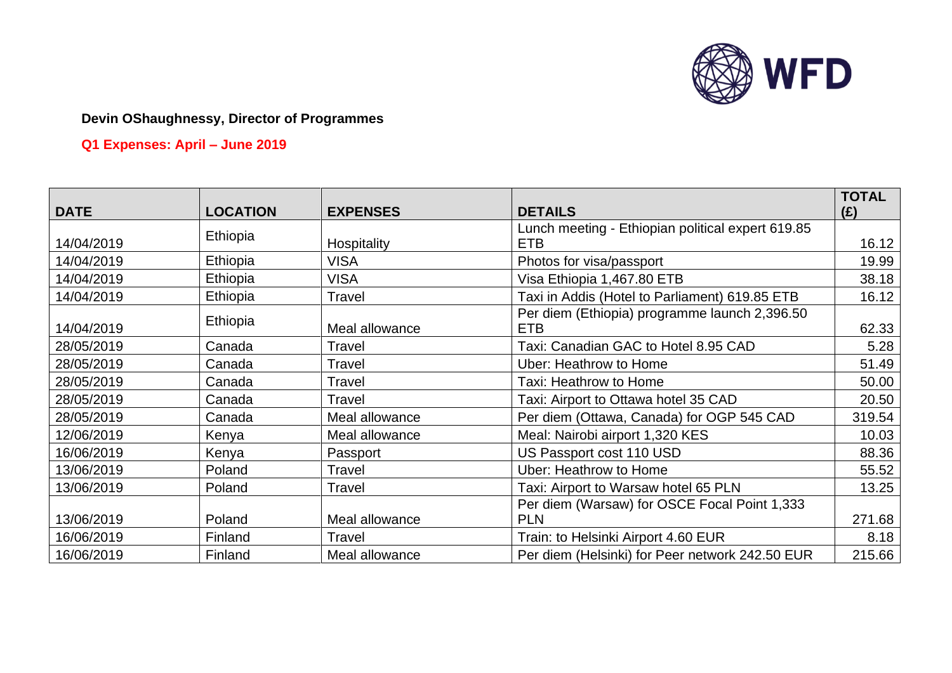

# **Q1 Expenses: April – June 2019**

|             |                 |                 |                                                   | <b>TOTAL</b> |
|-------------|-----------------|-----------------|---------------------------------------------------|--------------|
| <b>DATE</b> | <b>LOCATION</b> | <b>EXPENSES</b> | <b>DETAILS</b>                                    | (E)          |
|             |                 |                 | Lunch meeting - Ethiopian political expert 619.85 |              |
| 14/04/2019  | Ethiopia        | Hospitality     | <b>ETB</b>                                        | 16.12        |
| 14/04/2019  | Ethiopia        | <b>VISA</b>     | Photos for visa/passport                          | 19.99        |
| 14/04/2019  | Ethiopia        | <b>VISA</b>     | Visa Ethiopia 1,467.80 ETB                        | 38.18        |
| 14/04/2019  | Ethiopia        | Travel          | Taxi in Addis (Hotel to Parliament) 619.85 ETB    | 16.12        |
|             | Ethiopia        |                 | Per diem (Ethiopia) programme launch 2,396.50     |              |
| 14/04/2019  |                 | Meal allowance  | <b>ETB</b>                                        | 62.33        |
| 28/05/2019  | Canada          | Travel          | Taxi: Canadian GAC to Hotel 8.95 CAD              | 5.28         |
| 28/05/2019  | Canada          | <b>Travel</b>   | <b>Uber: Heathrow to Home</b>                     | 51.49        |
| 28/05/2019  | Canada          | Travel          | Taxi: Heathrow to Home                            | 50.00        |
| 28/05/2019  | Canada          | Travel          | Taxi: Airport to Ottawa hotel 35 CAD              | 20.50        |
| 28/05/2019  | Canada          | Meal allowance  | Per diem (Ottawa, Canada) for OGP 545 CAD         | 319.54       |
| 12/06/2019  | Kenya           | Meal allowance  | Meal: Nairobi airport 1,320 KES                   | 10.03        |
| 16/06/2019  | Kenya           | Passport        | US Passport cost 110 USD                          | 88.36        |
| 13/06/2019  | Poland          | Travel          | <b>Uber: Heathrow to Home</b>                     | 55.52        |
| 13/06/2019  | Poland          | Travel          | Taxi: Airport to Warsaw hotel 65 PLN              | 13.25        |
|             |                 |                 | Per diem (Warsaw) for OSCE Focal Point 1,333      |              |
| 13/06/2019  | Poland          | Meal allowance  | <b>PLN</b>                                        | 271.68       |
| 16/06/2019  | Finland         | Travel          | Train: to Helsinki Airport 4.60 EUR               | 8.18         |
| 16/06/2019  | Finland         | Meal allowance  | Per diem (Helsinki) for Peer network 242.50 EUR   | 215.66       |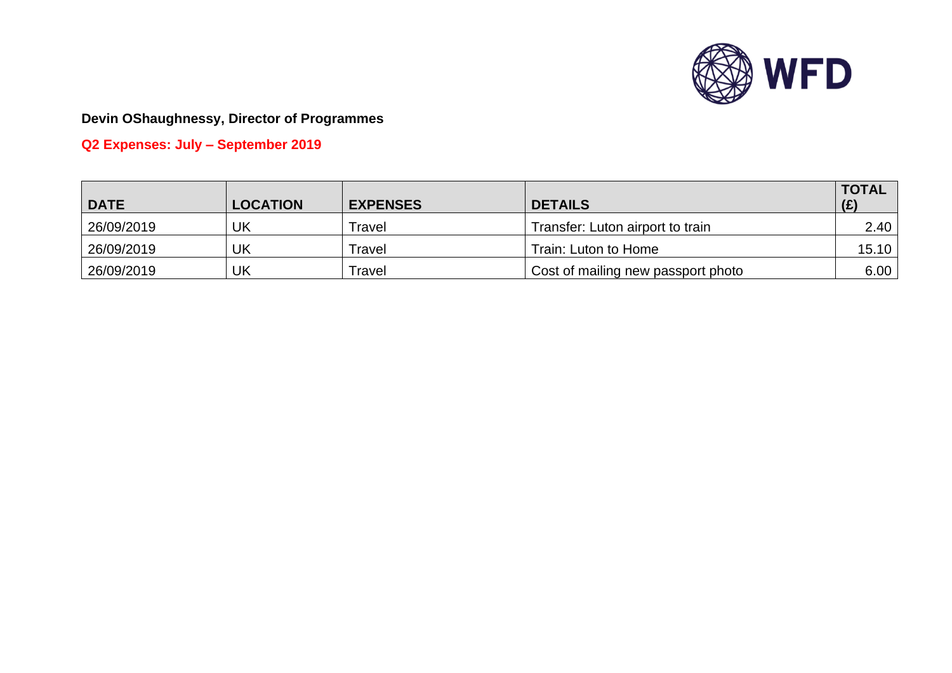

**Q2 Expenses: July – September 2019**

| <b>DATE</b> | <b>LOCATION</b> | <b>EXPENSES</b> | <b>DETAILS</b>                     | <b>TOTAL</b><br>(E) |
|-------------|-----------------|-----------------|------------------------------------|---------------------|
| 26/09/2019  | UK              | Travel          | Transfer: Luton airport to train   | 2.40                |
| 26/09/2019  | UK              | Travel          | Train: Luton to Home               | 15.10               |
| 26/09/2019  | UK              | Travel          | Cost of mailing new passport photo | 6.00                |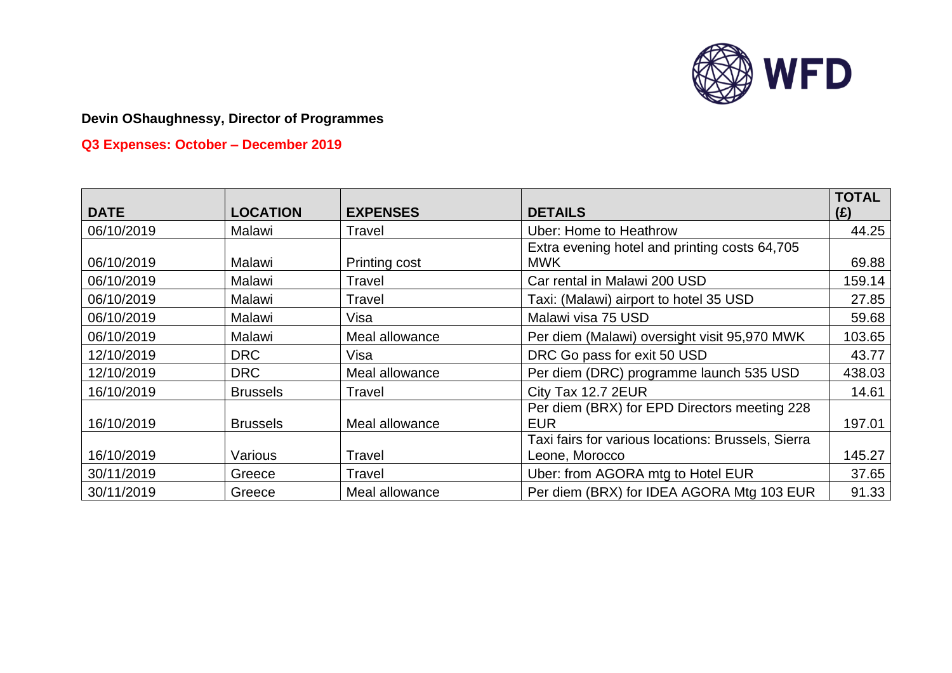

# **Q3 Expenses: October – December 2019**

| <b>DATE</b> | <b>LOCATION</b> | <b>EXPENSES</b> | <b>DETAILS</b>                                              | <b>TOTAL</b><br>(E) |
|-------------|-----------------|-----------------|-------------------------------------------------------------|---------------------|
| 06/10/2019  | Malawi          | Travel          | <b>Uber: Home to Heathrow</b>                               | 44.25               |
| 06/10/2019  | Malawi          | Printing cost   | Extra evening hotel and printing costs 64,705<br><b>MWK</b> | 69.88               |
| 06/10/2019  | Malawi          | Travel          | Car rental in Malawi 200 USD                                | 159.14              |
| 06/10/2019  | Malawi          | Travel          | Taxi: (Malawi) airport to hotel 35 USD                      | 27.85               |
| 06/10/2019  | Malawi          | Visa            | Malawi visa 75 USD                                          | 59.68               |
| 06/10/2019  | Malawi          | Meal allowance  | Per diem (Malawi) oversight visit 95,970 MWK                | 103.65              |
| 12/10/2019  | <b>DRC</b>      | Visa            | DRC Go pass for exit 50 USD                                 | 43.77               |
| 12/10/2019  | <b>DRC</b>      | Meal allowance  | Per diem (DRC) programme launch 535 USD                     | 438.03              |
| 16/10/2019  | <b>Brussels</b> | Travel          | City Tax 12.7 2EUR                                          | 14.61               |
| 16/10/2019  | <b>Brussels</b> | Meal allowance  | Per diem (BRX) for EPD Directors meeting 228<br><b>EUR</b>  | 197.01              |
|             |                 |                 | Taxi fairs for various locations: Brussels, Sierra          |                     |
| 16/10/2019  | Various         | Travel          | Leone, Morocco                                              | 145.27              |
| 30/11/2019  | Greece          | Travel          | Uber: from AGORA mtg to Hotel EUR                           | 37.65               |
| 30/11/2019  | Greece          | Meal allowance  | Per diem (BRX) for IDEA AGORA Mtg 103 EUR                   | 91.33               |